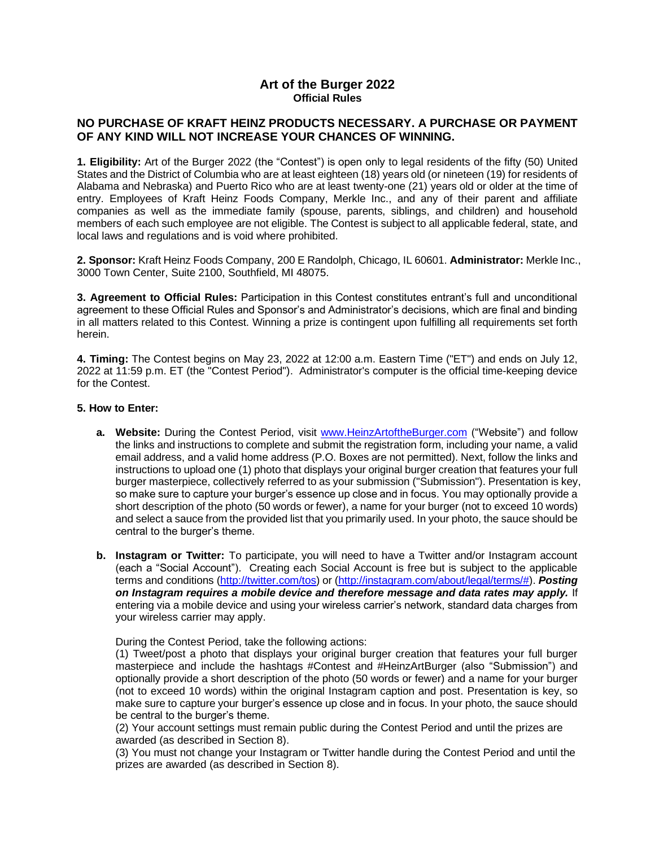# **Art of the Burger 2022 Official Rules**

# **NO PURCHASE OF KRAFT HEINZ PRODUCTS NECESSARY. A PURCHASE OR PAYMENT OF ANY KIND WILL NOT INCREASE YOUR CHANCES OF WINNING.**

**1. Eligibility:** Art of the Burger 2022 (the "Contest") is open only to legal residents of the fifty (50) United States and the District of Columbia who are at least eighteen (18) years old (or nineteen (19) for residents of Alabama and Nebraska) and Puerto Rico who are at least twenty-one (21) years old or older at the time of entry. Employees of Kraft Heinz Foods Company, Merkle Inc., and any of their parent and affiliate companies as well as the immediate family (spouse, parents, siblings, and children) and household members of each such employee are not eligible. The Contest is subject to all applicable federal, state, and local laws and regulations and is void where prohibited.

**2. Sponsor:** Kraft Heinz Foods Company, 200 E Randolph, Chicago, IL 60601. **Administrator:** Merkle Inc., 3000 Town Center, Suite 2100, Southfield, MI 48075.

**3. Agreement to Official Rules:** Participation in this Contest constitutes entrant's full and unconditional agreement to these Official Rules and Sponsor's and Administrator's decisions, which are final and binding in all matters related to this Contest. Winning a prize is contingent upon fulfilling all requirements set forth herein.

**4. Timing:** The Contest begins on May 23, 2022 at 12:00 a.m. Eastern Time ("ET") and ends on July 12, 2022 at 11:59 p.m. ET (the "Contest Period"). Administrator's computer is the official time-keeping device for the Contest.

## **5. How to Enter:**

- **a. Website:** During the Contest Period, visit [www.HeinzArtoftheBurger.com](http://www.heinzartoftheburger.com/) ("Website") and follow the links and instructions to complete and submit the registration form, including your name, a valid email address, and a valid home address (P.O. Boxes are not permitted). Next, follow the links and instructions to upload one (1) photo that displays your original burger creation that features your full burger masterpiece, collectively referred to as your submission ("Submission"). Presentation is key, so make sure to capture your burger's essence up close and in focus. You may optionally provide a short description of the photo (50 words or fewer), a name for your burger (not to exceed 10 words) and select a sauce from the provided list that you primarily used. In your photo, the sauce should be central to the burger's theme.
- **b. Instagram or Twitter:** To participate, you will need to have a Twitter and/or Instagram account (each a "Social Account"). Creating each Social Account is free but is subject to the applicable terms and conditions [\(http://twitter.com/tos\)](http://twitter.com/tos) or [\(http://instagram.com/about/legal/terms/#\)](http://instagram.com/about/legal/terms/). *Posting on Instagram requires a mobile device and therefore message and data rates may apply.* If entering via a mobile device and using your wireless carrier's network, standard data charges from your wireless carrier may apply.

During the Contest Period, take the following actions:

(1) Tweet/post a photo that displays your original burger creation that features your full burger masterpiece and include the hashtags #Contest and #HeinzArtBurger (also "Submission") and optionally provide a short description of the photo (50 words or fewer) and a name for your burger (not to exceed 10 words) within the original Instagram caption and post. Presentation is key, so make sure to capture your burger's essence up close and in focus. In your photo, the sauce should be central to the burger's theme.

(2) Your account settings must remain public during the Contest Period and until the prizes are awarded (as described in Section 8).

(3) You must not change your Instagram or Twitter handle during the Contest Period and until the prizes are awarded (as described in Section 8).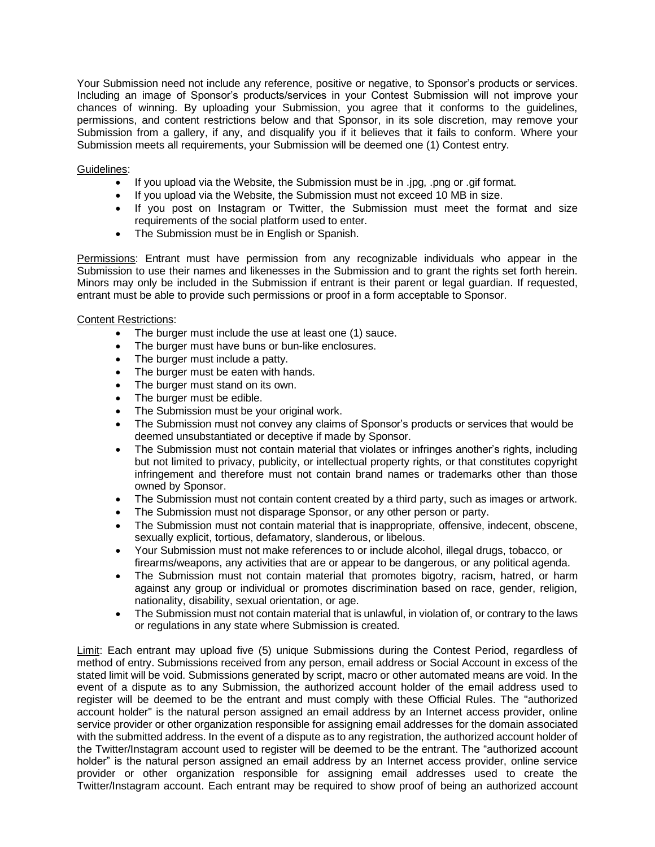Your Submission need not include any reference, positive or negative, to Sponsor's products or services. Including an image of Sponsor's products/services in your Contest Submission will not improve your chances of winning. By uploading your Submission, you agree that it conforms to the guidelines, permissions, and content restrictions below and that Sponsor, in its sole discretion, may remove your Submission from a gallery, if any, and disqualify you if it believes that it fails to conform. Where your Submission meets all requirements, your Submission will be deemed one (1) Contest entry.

### Guidelines:

- If you upload via the Website, the Submission must be in .jpg, .png or .gif format.
- If you upload via the Website, the Submission must not exceed 10 MB in size.
- If you post on Instagram or Twitter, the Submission must meet the format and size requirements of the social platform used to enter.
- The Submission must be in English or Spanish.

Permissions: Entrant must have permission from any recognizable individuals who appear in the Submission to use their names and likenesses in the Submission and to grant the rights set forth herein. Minors may only be included in the Submission if entrant is their parent or legal guardian. If requested, entrant must be able to provide such permissions or proof in a form acceptable to Sponsor.

### Content Restrictions:

- The burger must include the use at least one (1) sauce.
- The burger must have buns or bun-like enclosures.
- The burger must include a patty.
- The burger must be eaten with hands.
- The burger must stand on its own.
- The burger must be edible.
- The Submission must be your original work.
- The Submission must not convey any claims of Sponsor's products or services that would be deemed unsubstantiated or deceptive if made by Sponsor.
- The Submission must not contain material that violates or infringes another's rights, including but not limited to privacy, publicity, or intellectual property rights, or that constitutes copyright infringement and therefore must not contain brand names or trademarks other than those owned by Sponsor.
- The Submission must not contain content created by a third party, such as images or artwork.
- The Submission must not disparage Sponsor, or any other person or party.
- The Submission must not contain material that is inappropriate, offensive, indecent, obscene, sexually explicit, tortious, defamatory, slanderous, or libelous.
- Your Submission must not make references to or include alcohol, illegal drugs, tobacco, or firearms/weapons, any activities that are or appear to be dangerous, or any political agenda.
- The Submission must not contain material that promotes bigotry, racism, hatred, or harm against any group or individual or promotes discrimination based on race, gender, religion, nationality, disability, sexual orientation, or age.
- The Submission must not contain material that is unlawful, in violation of, or contrary to the laws or regulations in any state where Submission is created.

Limit: Each entrant may upload five (5) unique Submissions during the Contest Period, regardless of method of entry. Submissions received from any person, email address or Social Account in excess of the stated limit will be void. Submissions generated by script, macro or other automated means are void. In the event of a dispute as to any Submission, the authorized account holder of the email address used to register will be deemed to be the entrant and must comply with these Official Rules. The "authorized account holder" is the natural person assigned an email address by an Internet access provider, online service provider or other organization responsible for assigning email addresses for the domain associated with the submitted address. In the event of a dispute as to any registration, the authorized account holder of the Twitter/Instagram account used to register will be deemed to be the entrant. The "authorized account holder" is the natural person assigned an email address by an Internet access provider, online service provider or other organization responsible for assigning email addresses used to create the Twitter/Instagram account. Each entrant may be required to show proof of being an authorized account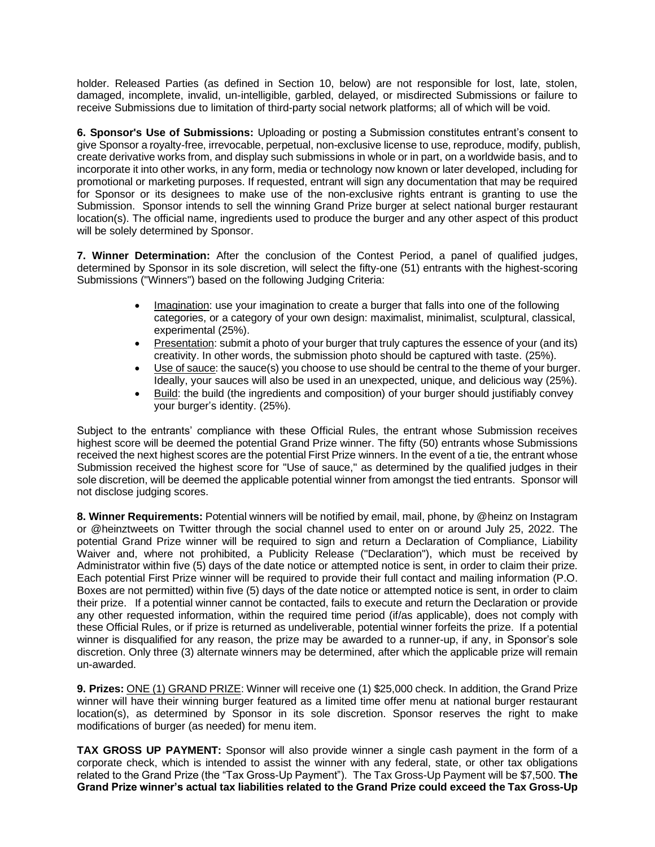holder. Released Parties (as defined in Section 10, below) are not responsible for lost, late, stolen, damaged, incomplete, invalid, un-intelligible, garbled, delayed, or misdirected Submissions or failure to receive Submissions due to limitation of third-party social network platforms; all of which will be void.

**6. Sponsor's Use of Submissions:** Uploading or posting a Submission constitutes entrant's consent to give Sponsor a royalty-free, irrevocable, perpetual, non-exclusive license to use, reproduce, modify, publish, create derivative works from, and display such submissions in whole or in part, on a worldwide basis, and to incorporate it into other works, in any form, media or technology now known or later developed, including for promotional or marketing purposes. If requested, entrant will sign any documentation that may be required for Sponsor or its designees to make use of the non-exclusive rights entrant is granting to use the Submission. Sponsor intends to sell the winning Grand Prize burger at select national burger restaurant location(s). The official name, ingredients used to produce the burger and any other aspect of this product will be solely determined by Sponsor.

**7. Winner Determination:** After the conclusion of the Contest Period, a panel of qualified judges, determined by Sponsor in its sole discretion, will select the fifty-one (51) entrants with the highest-scoring Submissions ("Winners") based on the following Judging Criteria:

- Imagination: use your imagination to create a burger that falls into one of the following categories, or a category of your own design: maximalist, minimalist, sculptural, classical, experimental (25%).
- Presentation: submit a photo of your burger that truly captures the essence of your (and its) creativity. In other words, the submission photo should be captured with taste. (25%).
- Use of sauce: the sauce(s) you choose to use should be central to the theme of your burger. Ideally, your sauces will also be used in an unexpected, unique, and delicious way (25%).
- Build: the build (the ingredients and composition) of your burger should justifiably convey your burger's identity. (25%).

Subject to the entrants' compliance with these Official Rules, the entrant whose Submission receives highest score will be deemed the potential Grand Prize winner. The fifty (50) entrants whose Submissions received the next highest scores are the potential First Prize winners. In the event of a tie, the entrant whose Submission received the highest score for "Use of sauce," as determined by the qualified judges in their sole discretion, will be deemed the applicable potential winner from amongst the tied entrants. Sponsor will not disclose judging scores.

**8. Winner Requirements:** Potential winners will be notified by email, mail, phone, by @heinz on Instagram or @heinztweets on Twitter through the social channel used to enter on or around July 25, 2022. The potential Grand Prize winner will be required to sign and return a Declaration of Compliance, Liability Waiver and, where not prohibited, a Publicity Release ("Declaration"), which must be received by Administrator within five (5) days of the date notice or attempted notice is sent, in order to claim their prize. Each potential First Prize winner will be required to provide their full contact and mailing information (P.O. Boxes are not permitted) within five (5) days of the date notice or attempted notice is sent, in order to claim their prize. If a potential winner cannot be contacted, fails to execute and return the Declaration or provide any other requested information, within the required time period (if/as applicable), does not comply with these Official Rules, or if prize is returned as undeliverable, potential winner forfeits the prize. If a potential winner is disqualified for any reason, the prize may be awarded to a runner-up, if any, in Sponsor's sole discretion. Only three (3) alternate winners may be determined, after which the applicable prize will remain un-awarded.

**9. Prizes:** ONE (1) GRAND PRIZE: Winner will receive one (1) \$25,000 check. In addition, the Grand Prize winner will have their winning burger featured as a limited time offer menu at national burger restaurant location(s), as determined by Sponsor in its sole discretion. Sponsor reserves the right to make modifications of burger (as needed) for menu item.

**TAX GROSS UP PAYMENT:** Sponsor will also provide winner a single cash payment in the form of a corporate check, which is intended to assist the winner with any federal, state, or other tax obligations related to the Grand Prize (the "Tax Gross-Up Payment"). The Tax Gross-Up Payment will be \$7,500. **The Grand Prize winner's actual tax liabilities related to the Grand Prize could exceed the Tax Gross-Up**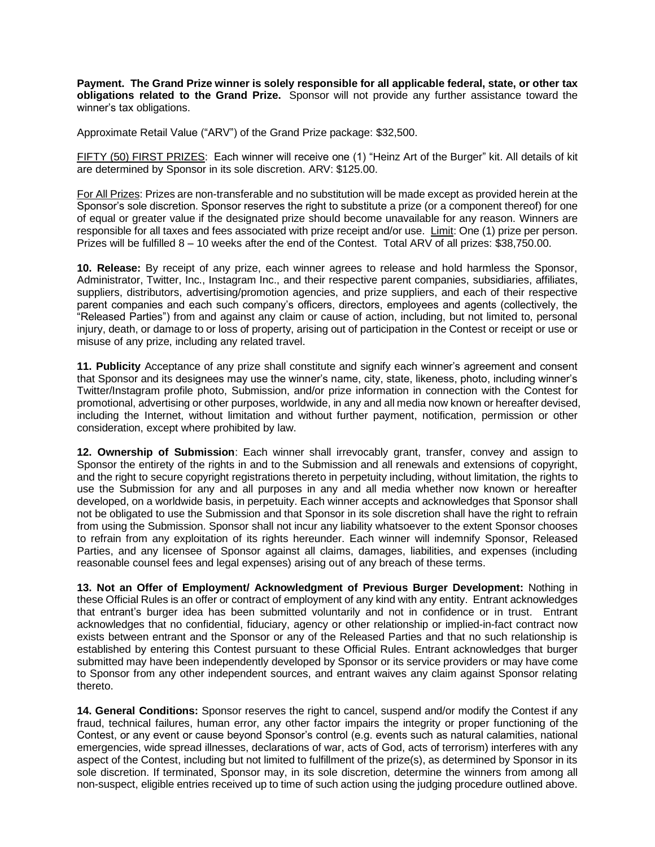**Payment. The Grand Prize winner is solely responsible for all applicable federal, state, or other tax obligations related to the Grand Prize.** Sponsor will not provide any further assistance toward the winner's tax obligations.

Approximate Retail Value ("ARV") of the Grand Prize package: \$32,500.

FIFTY (50) FIRST PRIZES: Each winner will receive one (1) "Heinz Art of the Burger" kit. All details of kit are determined by Sponsor in its sole discretion. ARV: \$125.00.

For All Prizes: Prizes are non-transferable and no substitution will be made except as provided herein at the Sponsor's sole discretion. Sponsor reserves the right to substitute a prize (or a component thereof) for one of equal or greater value if the designated prize should become unavailable for any reason. Winners are responsible for all taxes and fees associated with prize receipt and/or use. Limit: One (1) prize per person. Prizes will be fulfilled 8 – 10 weeks after the end of the Contest. Total ARV of all prizes: \$38,750.00.

**10. Release:** By receipt of any prize, each winner agrees to release and hold harmless the Sponsor, Administrator, Twitter, Inc., Instagram Inc., and their respective parent companies, subsidiaries, affiliates, suppliers, distributors, advertising/promotion agencies, and prize suppliers, and each of their respective parent companies and each such company's officers, directors, employees and agents (collectively, the "Released Parties") from and against any claim or cause of action, including, but not limited to, personal injury, death, or damage to or loss of property, arising out of participation in the Contest or receipt or use or misuse of any prize, including any related travel.

**11. Publicity** Acceptance of any prize shall constitute and signify each winner's agreement and consent that Sponsor and its designees may use the winner's name, city, state, likeness, photo, including winner's Twitter/Instagram profile photo, Submission, and/or prize information in connection with the Contest for promotional, advertising or other purposes, worldwide, in any and all media now known or hereafter devised, including the Internet, without limitation and without further payment, notification, permission or other consideration, except where prohibited by law.

**12. Ownership of Submission**: Each winner shall irrevocably grant, transfer, convey and assign to Sponsor the entirety of the rights in and to the Submission and all renewals and extensions of copyright, and the right to secure copyright registrations thereto in perpetuity including, without limitation, the rights to use the Submission for any and all purposes in any and all media whether now known or hereafter developed, on a worldwide basis, in perpetuity. Each winner accepts and acknowledges that Sponsor shall not be obligated to use the Submission and that Sponsor in its sole discretion shall have the right to refrain from using the Submission. Sponsor shall not incur any liability whatsoever to the extent Sponsor chooses to refrain from any exploitation of its rights hereunder. Each winner will indemnify Sponsor, Released Parties, and any licensee of Sponsor against all claims, damages, liabilities, and expenses (including reasonable counsel fees and legal expenses) arising out of any breach of these terms.

**13. Not an Offer of Employment/ Acknowledgment of Previous Burger Development:** Nothing in these Official Rules is an offer or contract of employment of any kind with any entity. Entrant acknowledges that entrant's burger idea has been submitted voluntarily and not in confidence or in trust. Entrant acknowledges that no confidential, fiduciary, agency or other relationship or implied-in-fact contract now exists between entrant and the Sponsor or any of the Released Parties and that no such relationship is established by entering this Contest pursuant to these Official Rules. Entrant acknowledges that burger submitted may have been independently developed by Sponsor or its service providers or may have come to Sponsor from any other independent sources, and entrant waives any claim against Sponsor relating thereto.

**14. General Conditions:** Sponsor reserves the right to cancel, suspend and/or modify the Contest if any fraud, technical failures, human error, any other factor impairs the integrity or proper functioning of the Contest, or any event or cause beyond Sponsor's control (e.g. events such as natural calamities, national emergencies, wide spread illnesses, declarations of war, acts of God, acts of terrorism) interferes with any aspect of the Contest, including but not limited to fulfillment of the prize(s), as determined by Sponsor in its sole discretion. If terminated, Sponsor may, in its sole discretion, determine the winners from among all non-suspect, eligible entries received up to time of such action using the judging procedure outlined above.